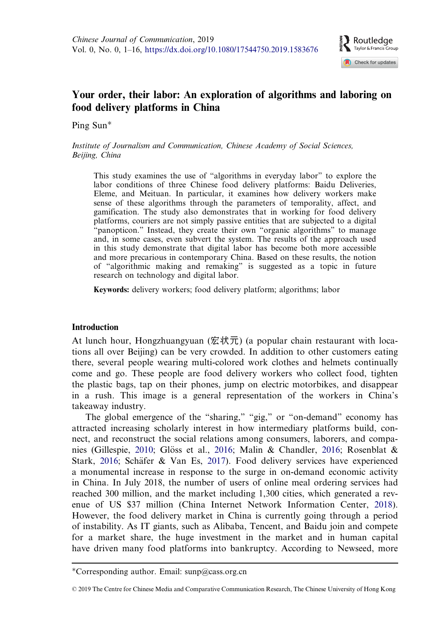

# Your order, their labor: An exploration of algorithms and laboring on food delivery platforms in China

Ping Sun

*Institute of Journalism and Communication, Chinese Academy of Social Sciences, Beijing, China*

This study examines the use of "algorithms in everyday labor" to explore the labor conditions of three Chinese food delivery platforms: Baidu Deliveries, Eleme, and Meituan. In particular, it examines how delivery workers make sense of these algorithms through the parameters of temporality, affect, and gamification. The study also demonstrates that in working for food delivery platforms, couriers are not simply passive entities that are subjected to a digital "panopticon." Instead, they create their own "organic algorithms" to manage and, in some cases, even subvert the system. The results of the approach used in this study demonstrate that digital labor has become both more accessible and more precarious in contemporary China. Based on these results, the notion of "algorithmic making and remaking" is suggested as a topic in future research on technology and digital labor.

Keywords: delivery workers; food delivery platform; algorithms; labor

### Introduction

At lunch hour, Hongzhuangyuan  $(\n\overline{\mathcal{E}}\n\mathcal{K}\n\overline{\mathcal{F}})$  (a popular chain restaurant with locations all over Beijing) can be very crowded. In addition to other customers eating there, several people wearing multi-colored work clothes and helmets continually come and go. These people are food delivery workers who collect food, tighten the plastic bags, tap on their phones, jump on electric motorbikes, and disappear in a rush. This image is a general representation of the workers in China's takeaway industry.

The global emergence of the "sharing," "gig," or "on-demand" economy has attracted increasing scholarly interest in how intermediary platforms build, connect, and reconstruct the social relations among consumers, laborers, and companies (Gillespie, 2010; Glöss et al., 2016; Malin & Chandler, 2016; Rosenblat & Stark, 2016; Schäfer & Van Es, 2017). Food delivery services have experienced a monumental increase in response to the surge in on-demand economic activity in China. In July 2018, the number of users of online meal ordering services had reached 300 million, and the market including 1,300 cities, which generated a revenue of US \$37 million (China Internet Network Information Center, 2018). However, the food delivery market in China is currently going through a period of instability. As IT giants, such as Alibaba, Tencent, and Baidu join and compete for a market share, the huge investment in the market and in human capital have driven many food platforms into bankruptcy. According to Newseed, more

Corresponding author. Email: sunp@cass.org.cn

2019 The Centre for Chinese Media and Comparative Communication Research, The Chinese University of Hong Kong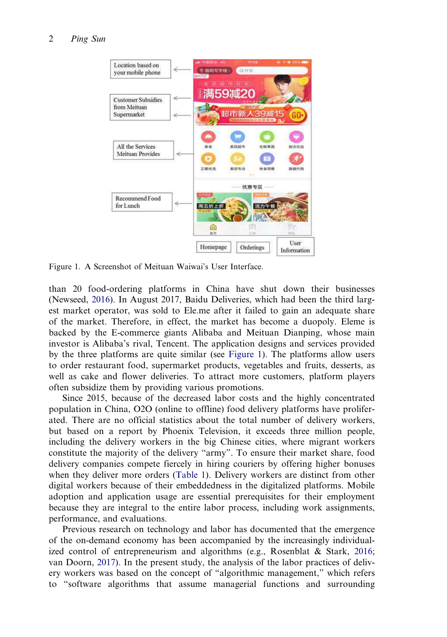

Figure 1. A Screenshot of Meituan Waiwai's User Interface.

than 20 food-ordering platforms in China have shut down their businesses (Newseed, 2016). In August 2017, Baidu Deliveries, which had been the third largest market operator, was sold to Ele.me after it failed to gain an adequate share of the market. Therefore, in effect, the market has become a duopoly. Eleme is backed by the E-commerce giants Alibaba and Meituan Dianping, whose main investor is Alibaba's rival, Tencent. The application designs and services provided by the three platforms are quite similar (see Figure 1). The platforms allow users to order restaurant food, supermarket products, vegetables and fruits, desserts, as well as cake and flower deliveries. To attract more customers, platform players often subsidize them by providing various promotions.

Since 2015, because of the decreased labor costs and the highly concentrated population in China, O2O (online to offline) food delivery platforms have proliferated. There are no official statistics about the total number of delivery workers, but based on a report by Phoenix Television, it exceeds three million people, including the delivery workers in the big Chinese cities, where migrant workers constitute the majority of the delivery "army". To ensure their market share, food delivery companies compete fiercely in hiring couriers by offering higher bonuses when they deliver more orders (Table 1). Delivery workers are distinct from other digital workers because of their embeddedness in the digitalized platforms. Mobile adoption and application usage are essential prerequisites for their employment because they are integral to the entire labor process, including work assignments, performance, and evaluations.

Previous research on technology and labor has documented that the emergence of the on-demand economy has been accompanied by the increasingly individualized control of entrepreneurism and algorithms (e.g., Rosenblat & Stark, 2016; van Doorn, 2017). In the present study, the analysis of the labor practices of delivery workers was based on the concept of "algorithmic management," which refers to "software algorithms that assume managerial functions and surrounding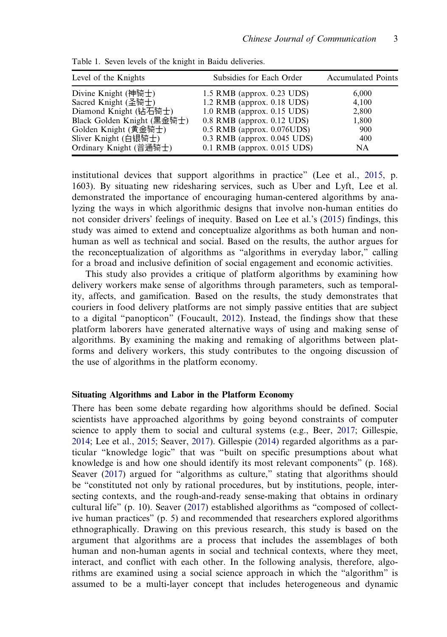| Subsidies for Each Order                                                                                                                                                                               | <b>Accumulated Points</b>                            |
|--------------------------------------------------------------------------------------------------------------------------------------------------------------------------------------------------------|------------------------------------------------------|
| 1.5 RMB (approx. $0.23$ UDS)<br>$1.2$ RMB (approx. 0.18 UDS)<br>$1.0$ RMB (approx. $0.15$ UDS)<br>$0.8$ RMB (approx. $0.12$ UDS)<br>$0.5$ RMB (approx. $0.076UDS$ )<br>$0.3$ RMB (approx. $0.045$ UDS) | 6,000<br>4.100<br>2,800<br>1,800<br>900<br>400<br>NA |
|                                                                                                                                                                                                        | $0.1$ RMB (approx. $0.015$ UDS)                      |

Table 1. Seven levels of the knight in Baidu deliveries.

institutional devices that support algorithms in practice" (Lee et al., 2015, p. 1603). By situating new ridesharing services, such as Uber and Lyft, Lee et al. demonstrated the importance of encouraging human-centered algorithms by analyzing the ways in which algorithmic designs that involve non-human entities do not consider drivers' feelings of inequity. Based on Lee et al.'s (2015) findings, this study was aimed to extend and conceptualize algorithms as both human and nonhuman as well as technical and social. Based on the results, the author argues for the reconceptualization of algorithms as "algorithms in everyday labor," calling for a broad and inclusive definition of social engagement and economic activities.

This study also provides a critique of platform algorithms by examining how delivery workers make sense of algorithms through parameters, such as temporality, affects, and gamification. Based on the results, the study demonstrates that couriers in food delivery platforms are not simply passive entities that are subject to a digital "panopticon" (Foucault, 2012). Instead, the findings show that these platform laborers have generated alternative ways of using and making sense of algorithms. By examining the making and remaking of algorithms between platforms and delivery workers, this study contributes to the ongoing discussion of the use of algorithms in the platform economy.

## Situating Algorithms and Labor in the Platform Economy

There has been some debate regarding how algorithms should be defined. Social scientists have approached algorithms by going beyond constraints of computer science to apply them to social and cultural systems (e.g., Beer, 2017; Gillespie, 2014; Lee et al., 2015; Seaver, 2017). Gillespie (2014) regarded algorithms as a particular "knowledge logic" that was "built on specific presumptions about what knowledge is and how one should identify its most relevant components" (p. 168). Seaver (2017) argued for "algorithms as culture," stating that algorithms should be "constituted not only by rational procedures, but by institutions, people, intersecting contexts, and the rough-and-ready sense-making that obtains in ordinary cultural life" (p. 10). Seaver (2017) established algorithms as "composed of collective human practices" (p. 5) and recommended that researchers explored algorithms ethnographically. Drawing on this previous research, this study is based on the argument that algorithms are a process that includes the assemblages of both human and non-human agents in social and technical contexts, where they meet, interact, and conflict with each other. In the following analysis, therefore, algorithms are examined using a social science approach in which the "algorithm" is assumed to be a multi-layer concept that includes heterogeneous and dynamic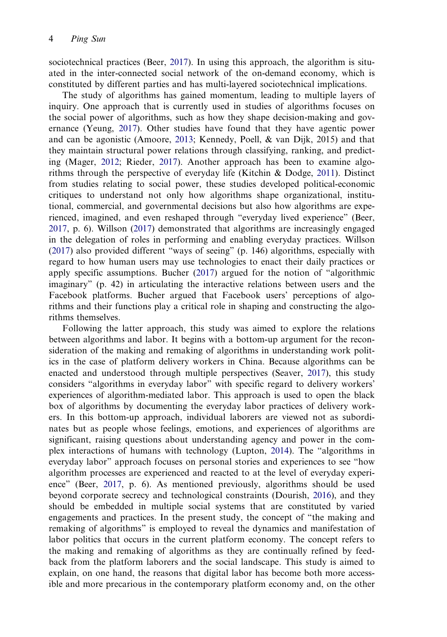sociotechnical practices (Beer, 2017). In using this approach, the algorithm is situated in the inter-connected social network of the on-demand economy, which is constituted by different parties and has multi-layered sociotechnical implications.

The study of algorithms has gained momentum, leading to multiple layers of inquiry. One approach that is currently used in studies of algorithms focuses on the social power of algorithms, such as how they shape decision-making and governance (Yeung, 2017). Other studies have found that they have agentic power and can be agonistic (Amoore, 2013; Kennedy, Poell, & van Dijk, 2015) and that they maintain structural power relations through classifying, ranking, and predicting (Mager, 2012; Rieder, 2017). Another approach has been to examine algorithms through the perspective of everyday life (Kitchin & Dodge, 2011). Distinct from studies relating to social power, these studies developed political-economic critiques to understand not only how algorithms shape organizational, institutional, commercial, and governmental decisions but also how algorithms are experienced, imagined, and even reshaped through "everyday lived experience" (Beer, 2017, p. 6). Willson (2017) demonstrated that algorithms are increasingly engaged in the delegation of roles in performing and enabling everyday practices. Willson (2017) also provided different "ways of seeing" (p. 146) algorithms, especially with regard to how human users may use technologies to enact their daily practices or apply specific assumptions. Bucher (2017) argued for the notion of "algorithmic imaginary" (p. 42) in articulating the interactive relations between users and the Facebook platforms. Bucher argued that Facebook users' perceptions of algorithms and their functions play a critical role in shaping and constructing the algorithms themselves.

Following the latter approach, this study was aimed to explore the relations between algorithms and labor. It begins with a bottom-up argument for the reconsideration of the making and remaking of algorithms in understanding work politics in the case of platform delivery workers in China. Because algorithms can be enacted and understood through multiple perspectives (Seaver, 2017), this study considers "algorithms in everyday labor" with specific regard to delivery workers' experiences of algorithm-mediated labor. This approach is used to open the black box of algorithms by documenting the everyday labor practices of delivery workers. In this bottom-up approach, individual laborers are viewed not as subordinates but as people whose feelings, emotions, and experiences of algorithms are significant, raising questions about understanding agency and power in the complex interactions of humans with technology (Lupton, 2014). The "algorithms in everyday labor" approach focuses on personal stories and experiences to see "how algorithm processes are experienced and reacted to at the level of everyday experience" (Beer, 2017, p. 6). As mentioned previously, algorithms should be used beyond corporate secrecy and technological constraints (Dourish, 2016), and they should be embedded in multiple social systems that are constituted by varied engagements and practices. In the present study, the concept of "the making and remaking of algorithms" is employed to reveal the dynamics and manifestation of labor politics that occurs in the current platform economy. The concept refers to the making and remaking of algorithms as they are continually refined by feedback from the platform laborers and the social landscape. This study is aimed to explain, on one hand, the reasons that digital labor has become both more accessible and more precarious in the contemporary platform economy and, on the other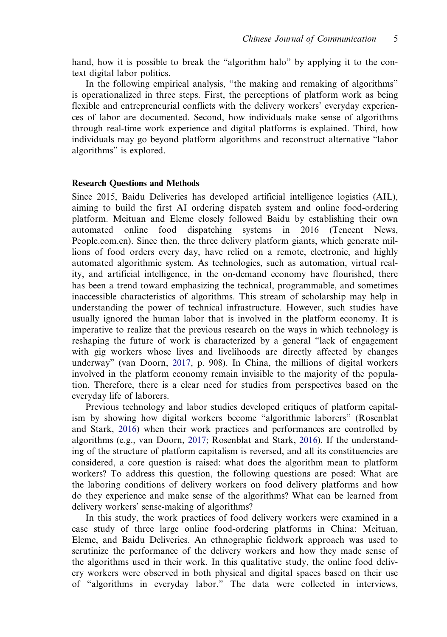hand, how it is possible to break the "algorithm halo" by applying it to the context digital labor politics.

In the following empirical analysis, "the making and remaking of algorithms" is operationalized in three steps. First, the perceptions of platform work as being flexible and entrepreneurial conflicts with the delivery workers' everyday experiences of labor are documented. Second, how individuals make sense of algorithms through real-time work experience and digital platforms is explained. Third, how individuals may go beyond platform algorithms and reconstruct alternative "labor algorithms" is explored.

## Research Questions and Methods

Since 2015, Baidu Deliveries has developed artificial intelligence logistics (AIL), aiming to build the first AI ordering dispatch system and online food-ordering platform. Meituan and Eleme closely followed Baidu by establishing their own automated online food dispatching systems in 2016 (Tencent News, People.com.cn). Since then, the three delivery platform giants, which generate millions of food orders every day, have relied on a remote, electronic, and highly automated algorithmic system. As technologies, such as automation, virtual reality, and artificial intelligence, in the on-demand economy have flourished, there has been a trend toward emphasizing the technical, programmable, and sometimes inaccessible characteristics of algorithms. This stream of scholarship may help in understanding the power of technical infrastructure. However, such studies have usually ignored the human labor that is involved in the platform economy. It is imperative to realize that the previous research on the ways in which technology is reshaping the future of work is characterized by a general "lack of engagement with gig workers whose lives and livelihoods are directly affected by changes underway" (van Doorn, 2017, p. 908). In China, the millions of digital workers involved in the platform economy remain invisible to the majority of the population. Therefore, there is a clear need for studies from perspectives based on the everyday life of laborers.

Previous technology and labor studies developed critiques of platform capitalism by showing how digital workers become "algorithmic laborers" (Rosenblat and Stark, 2016) when their work practices and performances are controlled by algorithms (e.g., van Doorn, 2017; Rosenblat and Stark, 2016). If the understanding of the structure of platform capitalism is reversed, and all its constituencies are considered, a core question is raised: what does the algorithm mean to platform workers? To address this question, the following questions are posed: What are the laboring conditions of delivery workers on food delivery platforms and how do they experience and make sense of the algorithms? What can be learned from delivery workers' sense-making of algorithms?

In this study, the work practices of food delivery workers were examined in a case study of three large online food-ordering platforms in China: Meituan, Eleme, and Baidu Deliveries. An ethnographic fieldwork approach was used to scrutinize the performance of the delivery workers and how they made sense of the algorithms used in their work. In this qualitative study, the online food delivery workers were observed in both physical and digital spaces based on their use of "algorithms in everyday labor." The data were collected in interviews,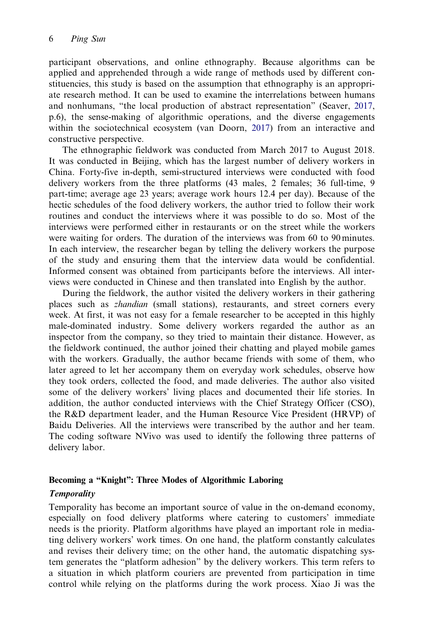participant observations, and online ethnography. Because algorithms can be applied and apprehended through a wide range of methods used by different constituencies, this study is based on the assumption that ethnography is an appropriate research method. It can be used to examine the interrelations between humans and nonhumans, "the local production of abstract representation" (Seaver, 2017, p.6), the sense-making of algorithmic operations, and the diverse engagements within the sociotechnical ecosystem (van Doorn, 2017) from an interactive and constructive perspective.

The ethnographic fieldwork was conducted from March 2017 to August 2018. It was conducted in Beijing, which has the largest number of delivery workers in China. Forty-five in-depth, semi-structured interviews were conducted with food delivery workers from the three platforms (43 males, 2 females; 36 full-time, 9 part-time; average age 23 years; average work hours 12.4 per day). Because of the hectic schedules of the food delivery workers, the author tried to follow their work routines and conduct the interviews where it was possible to do so. Most of the interviews were performed either in restaurants or on the street while the workers were waiting for orders. The duration of the interviews was from 60 to 90 minutes. In each interview, the researcher began by telling the delivery workers the purpose of the study and ensuring them that the interview data would be confidential. Informed consent was obtained from participants before the interviews. All interviews were conducted in Chinese and then translated into English by the author.

During the fieldwork, the author visited the delivery workers in their gathering places such as *zhandian* (small stations), restaurants, and street corners every week. At first, it was not easy for a female researcher to be accepted in this highly male-dominated industry. Some delivery workers regarded the author as an inspector from the company, so they tried to maintain their distance. However, as the fieldwork continued, the author joined their chatting and played mobile games with the workers. Gradually, the author became friends with some of them, who later agreed to let her accompany them on everyday work schedules, observe how they took orders, collected the food, and made deliveries. The author also visited some of the delivery workers' living places and documented their life stories. In addition, the author conducted interviews with the Chief Strategy Officer (CSO), the R&D department leader, and the Human Resource Vice President (HRVP) of Baidu Deliveries. All the interviews were transcribed by the author and her team. The coding software NVivo was used to identify the following three patterns of delivery labor.

## Becoming a "Knight": Three Modes of Algorithmic Laboring

## **Temporality**

Temporality has become an important source of value in the on-demand economy, especially on food delivery platforms where catering to customers' immediate needs is the priority. Platform algorithms have played an important role in mediating delivery workers' work times. On one hand, the platform constantly calculates and revises their delivery time; on the other hand, the automatic dispatching system generates the "platform adhesion" by the delivery workers. This term refers to a situation in which platform couriers are prevented from participation in time control while relying on the platforms during the work process. Xiao Ji was the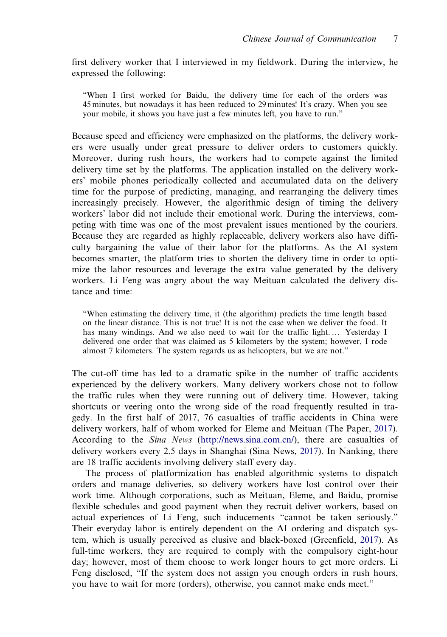first delivery worker that I interviewed in my fieldwork. During the interview, he expressed the following:

"When I first worked for Baidu, the delivery time for each of the orders was 45 minutes, but nowadays it has been reduced to 29 minutes! It's crazy. When you see your mobile, it shows you have just a few minutes left, you have to run."

Because speed and efficiency were emphasized on the platforms, the delivery workers were usually under great pressure to deliver orders to customers quickly. Moreover, during rush hours, the workers had to compete against the limited delivery time set by the platforms. The application installed on the delivery workers' mobile phones periodically collected and accumulated data on the delivery time for the purpose of predicting, managing, and rearranging the delivery times increasingly precisely. However, the algorithmic design of timing the delivery workers' labor did not include their emotional work. During the interviews, competing with time was one of the most prevalent issues mentioned by the couriers. Because they are regarded as highly replaceable, delivery workers also have difficulty bargaining the value of their labor for the platforms. As the AI system becomes smarter, the platform tries to shorten the delivery time in order to optimize the labor resources and leverage the extra value generated by the delivery workers. Li Feng was angry about the way Meituan calculated the delivery distance and time:

"When estimating the delivery time, it (the algorithm) predicts the time length based on the linear distance. This is not true! It is not the case when we deliver the food. It has many windings. And we also need to wait for the traffic light. … Yesterday I delivered one order that was claimed as 5 kilometers by the system; however, I rode almost 7 kilometers. The system regards us as helicopters, but we are not."

The cut-off time has led to a dramatic spike in the number of traffic accidents experienced by the delivery workers. Many delivery workers chose not to follow the traffic rules when they were running out of delivery time. However, taking shortcuts or veering onto the wrong side of the road frequently resulted in tragedy. In the first half of 2017, 76 casualties of traffic accidents in China were delivery workers, half of whom worked for Eleme and Meituan (The Paper, 2017). According to the *Sina News* (http://news.sina.com.cn/), there are casualties of delivery workers every 2.5 days in Shanghai (Sina News, 2017). In Nanking, there are 18 traffic accidents involving delivery staff every day.

The process of platformization has enabled algorithmic systems to dispatch orders and manage deliveries, so delivery workers have lost control over their work time. Although corporations, such as Meituan, Eleme, and Baidu, promise flexible schedules and good payment when they recruit deliver workers, based on actual experiences of Li Feng, such inducements "cannot be taken seriously." Their everyday labor is entirely dependent on the AI ordering and dispatch system, which is usually perceived as elusive and black-boxed (Greenfield, 2017). As full-time workers, they are required to comply with the compulsory eight-hour day; however, most of them choose to work longer hours to get more orders. Li Feng disclosed, "If the system does not assign you enough orders in rush hours, you have to wait for more (orders), otherwise, you cannot make ends meet."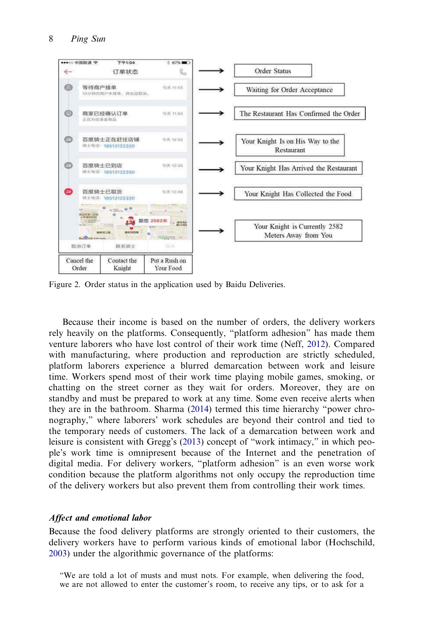

Figure 2. Order status in the application used by Baidu Deliveries.

Because their income is based on the number of orders, the delivery workers rely heavily on the platforms. Consequently, "platform adhesion" has made them venture laborers who have lost control of their work time (Neff, 2012). Compared with manufacturing, where production and reproduction are strictly scheduled, platform laborers experience a blurred demarcation between work and leisure time. Workers spend most of their work time playing mobile games, smoking, or chatting on the street corner as they wait for orders. Moreover, they are on standby and must be prepared to work at any time. Some even receive alerts when they are in the bathroom. Sharma (2014) termed this time hierarchy "power chronography," where laborers' work schedules are beyond their control and tied to the temporary needs of customers. The lack of a demarcation between work and leisure is consistent with Gregg's (2013) concept of "work intimacy," in which people's work time is omnipresent because of the Internet and the penetration of digital media. For delivery workers, "platform adhesion" is an even worse work condition because the platform algorithms not only occupy the reproduction time of the delivery workers but also prevent them from controlling their work times.

#### Affect and emotional labor

Because the food delivery platforms are strongly oriented to their customers, the delivery workers have to perform various kinds of emotional labor (Hochschild, 2003) under the algorithmic governance of the platforms:

"We are told a lot of musts and must nots. For example, when delivering the food, we are not allowed to enter the customer's room, to receive any tips, or to ask for a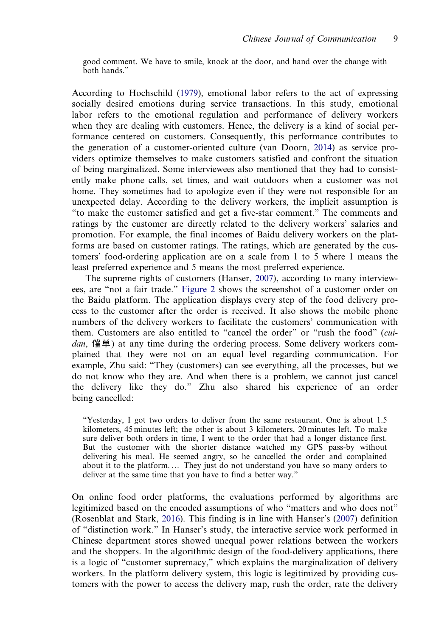good comment. We have to smile, knock at the door, and hand over the change with both hands."

According to Hochschild (1979), emotional labor refers to the act of expressing socially desired emotions during service transactions. In this study, emotional labor refers to the emotional regulation and performance of delivery workers when they are dealing with customers. Hence, the delivery is a kind of social performance centered on customers. Consequently, this performance contributes to the generation of a customer-oriented culture (van Doorn, 2014) as service providers optimize themselves to make customers satisfied and confront the situation of being marginalized. Some interviewees also mentioned that they had to consistently make phone calls, set times, and wait outdoors when a customer was not home. They sometimes had to apologize even if they were not responsible for an unexpected delay. According to the delivery workers, the implicit assumption is "to make the customer satisfied and get a five-star comment." The comments and ratings by the customer are directly related to the delivery workers' salaries and promotion. For example, the final incomes of Baidu delivery workers on the platforms are based on customer ratings. The ratings, which are generated by the customers' food-ordering application are on a scale from 1 to 5 where 1 means the least preferred experience and 5 means the most preferred experience.

The supreme rights of customers (Hanser, 2007), according to many interviewees, are "not a fair trade." Figure 2 shows the screenshot of a customer order on the Baidu platform. The application displays every step of the food delivery process to the customer after the order is received. It also shows the mobile phone numbers of the delivery workers to facilitate the customers' communication with them. Customers are also entitled to "cancel the order" or "rush the food" (*cui*dan, 催单) at any time during the ordering process. Some delivery workers complained that they were not on an equal level regarding communication. For example, Zhu said: "They (customers) can see everything, all the processes, but we do not know who they are. And when there is a problem, we cannot just cancel the delivery like they do." Zhu also shared his experience of an order being cancelled:

"Yesterday, I got two orders to deliver from the same restaurant. One is about 1.5 kilometers, 45 minutes left; the other is about 3 kilometers, 20 minutes left. To make sure deliver both orders in time, I went to the order that had a longer distance first. But the customer with the shorter distance watched my GPS pass-by without delivering his meal. He seemed angry, so he cancelled the order and complained about it to the platform. … They just do not understand you have so many orders to deliver at the same time that you have to find a better way."

On online food order platforms, the evaluations performed by algorithms are legitimized based on the encoded assumptions of who "matters and who does not" (Rosenblat and Stark, 2016). This finding is in line with Hanser's (2007) definition of "distinction work." In Hanser's study, the interactive service work performed in Chinese department stores showed unequal power relations between the workers and the shoppers. In the algorithmic design of the food-delivery applications, there is a logic of "customer supremacy," which explains the marginalization of delivery workers. In the platform delivery system, this logic is legitimized by providing customers with the power to access the delivery map, rush the order, rate the delivery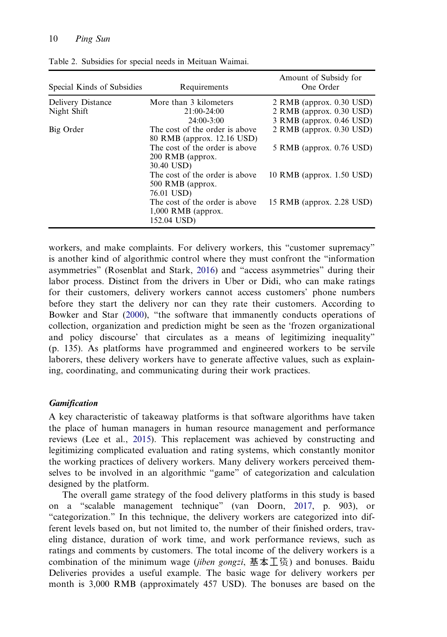| Special Kinds of Subsidies       | Requirements                                                                                                                     | Amount of Subsidy for<br>One Order                                                 |
|----------------------------------|----------------------------------------------------------------------------------------------------------------------------------|------------------------------------------------------------------------------------|
| Delivery Distance<br>Night Shift | More than 3 kilometers<br>$21:00-24:00$<br>$24:00-3:00$                                                                          | 2 RMB (approx. 0.30 USD)<br>$2$ RMB (approx. 0.30 USD)<br>3 RMB (approx. 0.46 USD) |
| Big Order                        | The cost of the order is above<br>80 RMB (approx. 12.16 USD)<br>The cost of the order is above<br>200 RMB (approx.<br>30.40 USD) | $2$ RMB (approx. 0.30 USD)<br>5 RMB (approx. $0.76$ USD)                           |
|                                  | The cost of the order is above<br>500 RMB (approx.<br>76.01 USD)                                                                 | 10 RMB (approx. $1.50$ USD)                                                        |
|                                  | The cost of the order is above<br>1,000 RMB (approx.<br>152.04 USD)                                                              | 15 RMB (approx. 2.28 USD)                                                          |

Table 2. Subsidies for special needs in Meituan Waimai.

workers, and make complaints. For delivery workers, this "customer supremacy" is another kind of algorithmic control where they must confront the "information asymmetries" (Rosenblat and Stark, 2016) and "access asymmetries" during their labor process. Distinct from the drivers in Uber or Didi, who can make ratings for their customers, delivery workers cannot access customers' phone numbers before they start the delivery nor can they rate their customers. According to Bowker and Star (2000), "the software that immanently conducts operations of collection, organization and prediction might be seen as the 'frozen organizational and policy discourse' that circulates as a means of legitimizing inequality" (p. 135). As platforms have programmed and engineered workers to be servile laborers, these delivery workers have to generate affective values, such as explaining, coordinating, and communicating during their work practices.

### Gamification

A key characteristic of takeaway platforms is that software algorithms have taken the place of human managers in human resource management and performance reviews (Lee et al., 2015). This replacement was achieved by constructing and legitimizing complicated evaluation and rating systems, which constantly monitor the working practices of delivery workers. Many delivery workers perceived themselves to be involved in an algorithmic "game" of categorization and calculation designed by the platform.

The overall game strategy of the food delivery platforms in this study is based on a "scalable management technique" (van Doorn, 2017, p. 903), or "categorization." In this technique, the delivery workers are categorized into different levels based on, but not limited to, the number of their finished orders, traveling distance, duration of work time, and work performance reviews, such as ratings and comments by customers. The total income of the delivery workers is a combination of the minimum wage (*jiben gongzi*, 基本工资) and bonuses. Baidu Deliveries provides a useful example. The basic wage for delivery workers per month is 3,000 RMB (approximately 457 USD). The bonuses are based on the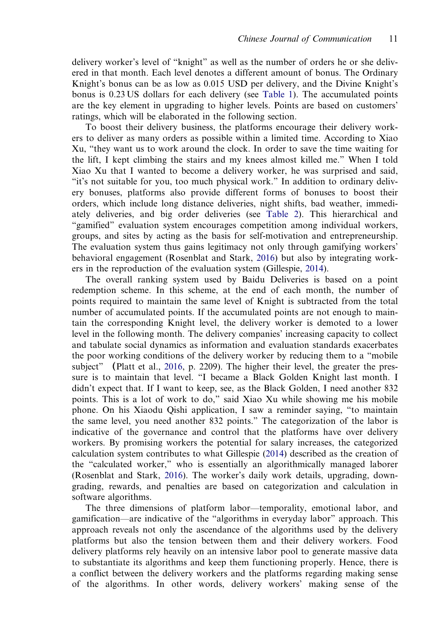delivery worker's level of "knight" as well as the number of orders he or she delivered in that month. Each level denotes a different amount of bonus. The Ordinary Knight's bonus can be as low as 0.015 USD per delivery, and the Divine Knight's bonus is 0.23 US dollars for each delivery (see Table 1). The accumulated points are the key element in upgrading to higher levels. Points are based on customers' ratings, which will be elaborated in the following section.

To boost their delivery business, the platforms encourage their delivery workers to deliver as many orders as possible within a limited time. According to Xiao Xu, "they want us to work around the clock. In order to save the time waiting for the lift, I kept climbing the stairs and my knees almost killed me." When I told Xiao Xu that I wanted to become a delivery worker, he was surprised and said, "it's not suitable for you, too much physical work." In addition to ordinary delivery bonuses, platforms also provide different forms of bonuses to boost their orders, which include long distance deliveries, night shifts, bad weather, immediately deliveries, and big order deliveries (see Table 2). This hierarchical and "gamified" evaluation system encourages competition among individual workers, groups, and sites by acting as the basis for self-motivation and entrepreneurship. The evaluation system thus gains legitimacy not only through gamifying workers' behavioral engagement (Rosenblat and Stark, 2016) but also by integrating workers in the reproduction of the evaluation system (Gillespie, 2014).

The overall ranking system used by Baidu Deliveries is based on a point redemption scheme. In this scheme, at the end of each month, the number of points required to maintain the same level of Knight is subtracted from the total number of accumulated points. If the accumulated points are not enough to maintain the corresponding Knight level, the delivery worker is demoted to a lower level in the following month. The delivery companies' increasing capacity to collect and tabulate social dynamics as information and evaluation standards exacerbates the poor working conditions of the delivery worker by reducing them to a "mobile subject" (Platt et al., 2016, p. 2209). The higher their level, the greater the pressure is to maintain that level. "I became a Black Golden Knight last month. I didn't expect that. If I want to keep, see, as the Black Golden, I need another 832 points. This is a lot of work to do," said Xiao Xu while showing me his mobile phone. On his Xiaodu Qishi application, I saw a reminder saying, "to maintain the same level, you need another 832 points." The categorization of the labor is indicative of the governance and control that the platforms have over delivery workers. By promising workers the potential for salary increases, the categorized calculation system contributes to what Gillespie (2014) described as the creation of the "calculated worker," who is essentially an algorithmically managed laborer (Rosenblat and Stark, 2016). The worker's daily work details, upgrading, downgrading, rewards, and penalties are based on categorization and calculation in software algorithms.

The three dimensions of platform labor—temporality, emotional labor, and gamification—are indicative of the "algorithms in everyday labor" approach. This approach reveals not only the ascendance of the algorithms used by the delivery platforms but also the tension between them and their delivery workers. Food delivery platforms rely heavily on an intensive labor pool to generate massive data to substantiate its algorithms and keep them functioning properly. Hence, there is a conflict between the delivery workers and the platforms regarding making sense of the algorithms. In other words, delivery workers' making sense of the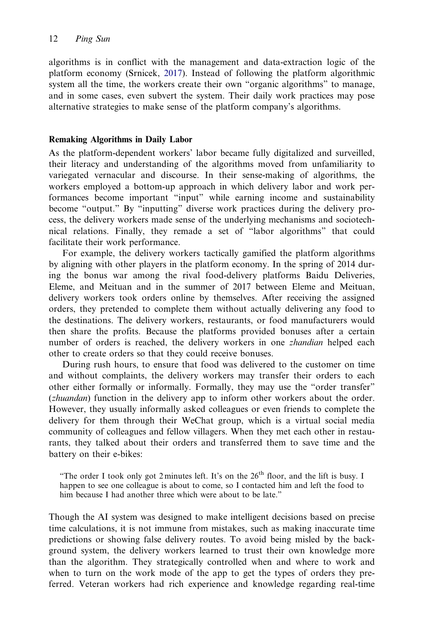algorithms is in conflict with the management and data-extraction logic of the platform economy (Srnicek, 2017). Instead of following the platform algorithmic system all the time, the workers create their own "organic algorithms" to manage, and in some cases, even subvert the system. Their daily work practices may pose alternative strategies to make sense of the platform company's algorithms.

# Remaking Algorithms in Daily Labor

As the platform-dependent workers' labor became fully digitalized and surveilled, their literacy and understanding of the algorithms moved from unfamiliarity to variegated vernacular and discourse. In their sense-making of algorithms, the workers employed a bottom-up approach in which delivery labor and work performances become important "input" while earning income and sustainability become "output." By "inputting" diverse work practices during the delivery process, the delivery workers made sense of the underlying mechanisms and sociotechnical relations. Finally, they remade a set of "labor algorithms" that could facilitate their work performance.

For example, the delivery workers tactically gamified the platform algorithms by aligning with other players in the platform economy. In the spring of 2014 during the bonus war among the rival food-delivery platforms Baidu Deliveries, Eleme, and Meituan and in the summer of 2017 between Eleme and Meituan, delivery workers took orders online by themselves. After receiving the assigned orders, they pretended to complete them without actually delivering any food to the destinations. The delivery workers, restaurants, or food manufacturers would then share the profits. Because the platforms provided bonuses after a certain number of orders is reached, the delivery workers in one *zhandian* helped each other to create orders so that they could receive bonuses.

During rush hours, to ensure that food was delivered to the customer on time and without complaints, the delivery workers may transfer their orders to each other either formally or informally. Formally, they may use the "order transfer" (*zhuandan*) function in the delivery app to inform other workers about the order. However, they usually informally asked colleagues or even friends to complete the delivery for them through their WeChat group, which is a virtual social media community of colleagues and fellow villagers. When they met each other in restaurants, they talked about their orders and transferred them to save time and the battery on their e-bikes:

"The order I took only got 2 minutes left. It's on the 26<sup>th</sup> floor, and the lift is busy. I happen to see one colleague is about to come, so I contacted him and left the food to him because I had another three which were about to be late."

Though the AI system was designed to make intelligent decisions based on precise time calculations, it is not immune from mistakes, such as making inaccurate time predictions or showing false delivery routes. To avoid being misled by the background system, the delivery workers learned to trust their own knowledge more than the algorithm. They strategically controlled when and where to work and when to turn on the work mode of the app to get the types of orders they preferred. Veteran workers had rich experience and knowledge regarding real-time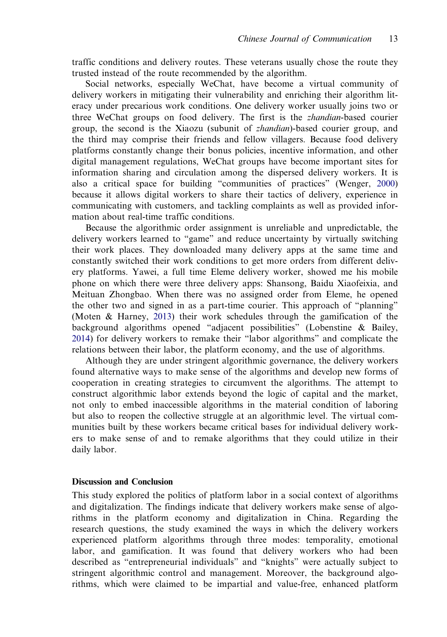traffic conditions and delivery routes. These veterans usually chose the route they trusted instead of the route recommended by the algorithm.

Social networks, especially WeChat, have become a virtual community of delivery workers in mitigating their vulnerability and enriching their algorithm literacy under precarious work conditions. One delivery worker usually joins two or three WeChat groups on food delivery. The first is the *zhandian*-based courier group, the second is the Xiaozu (subunit of *zhandian*)-based courier group, and the third may comprise their friends and fellow villagers. Because food delivery platforms constantly change their bonus policies, incentive information, and other digital management regulations, WeChat groups have become important sites for information sharing and circulation among the dispersed delivery workers. It is also a critical space for building "communities of practices" (Wenger, 2000) because it allows digital workers to share their tactics of delivery, experience in communicating with customers, and tackling complaints as well as provided information about real-time traffic conditions.

Because the algorithmic order assignment is unreliable and unpredictable, the delivery workers learned to "game" and reduce uncertainty by virtually switching their work places. They downloaded many delivery apps at the same time and constantly switched their work conditions to get more orders from different delivery platforms. Yawei, a full time Eleme delivery worker, showed me his mobile phone on which there were three delivery apps: Shansong, Baidu Xiaofeixia, and Meituan Zhongbao. When there was no assigned order from Eleme, he opened the other two and signed in as a part-time courier. This approach of "planning" (Moten & Harney, 2013) their work schedules through the gamification of the background algorithms opened "adjacent possibilities" (Lobenstine & Bailey, 2014) for delivery workers to remake their "labor algorithms" and complicate the relations between their labor, the platform economy, and the use of algorithms.

Although they are under stringent algorithmic governance, the delivery workers found alternative ways to make sense of the algorithms and develop new forms of cooperation in creating strategies to circumvent the algorithms. The attempt to construct algorithmic labor extends beyond the logic of capital and the market, not only to embed inaccessible algorithms in the material condition of laboring but also to reopen the collective struggle at an algorithmic level. The virtual communities built by these workers became critical bases for individual delivery workers to make sense of and to remake algorithms that they could utilize in their daily labor.

### Discussion and Conclusion

This study explored the politics of platform labor in a social context of algorithms and digitalization. The findings indicate that delivery workers make sense of algorithms in the platform economy and digitalization in China. Regarding the research questions, the study examined the ways in which the delivery workers experienced platform algorithms through three modes: temporality, emotional labor, and gamification. It was found that delivery workers who had been described as "entrepreneurial individuals" and "knights" were actually subject to stringent algorithmic control and management. Moreover, the background algorithms, which were claimed to be impartial and value-free, enhanced platform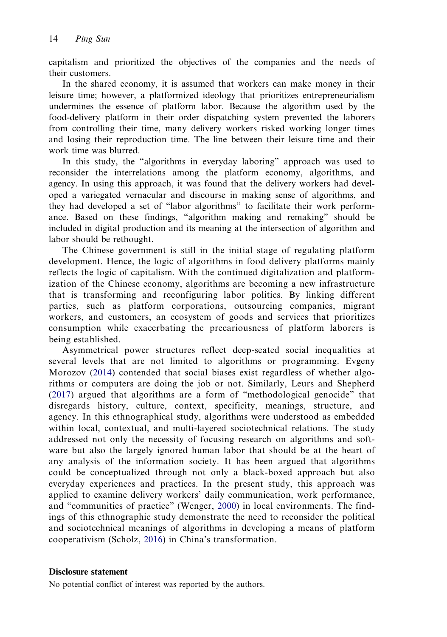capitalism and prioritized the objectives of the companies and the needs of their customers.

In the shared economy, it is assumed that workers can make money in their leisure time; however, a platformized ideology that prioritizes entrepreneurialism undermines the essence of platform labor. Because the algorithm used by the food-delivery platform in their order dispatching system prevented the laborers from controlling their time, many delivery workers risked working longer times and losing their reproduction time. The line between their leisure time and their work time was blurred.

In this study, the "algorithms in everyday laboring" approach was used to reconsider the interrelations among the platform economy, algorithms, and agency. In using this approach, it was found that the delivery workers had developed a variegated vernacular and discourse in making sense of algorithms, and they had developed a set of "labor algorithms" to facilitate their work performance. Based on these findings, "algorithm making and remaking" should be included in digital production and its meaning at the intersection of algorithm and labor should be rethought.

The Chinese government is still in the initial stage of regulating platform development. Hence, the logic of algorithms in food delivery platforms mainly reflects the logic of capitalism. With the continued digitalization and platformization of the Chinese economy, algorithms are becoming a new infrastructure that is transforming and reconfiguring labor politics. By linking different parties, such as platform corporations, outsourcing companies, migrant workers, and customers, an ecosystem of goods and services that prioritizes consumption while exacerbating the precariousness of platform laborers is being established.

Asymmetrical power structures reflect deep-seated social inequalities at several levels that are not limited to algorithms or programming. Evgeny Morozov (2014) contended that social biases exist regardless of whether algorithms or computers are doing the job or not. Similarly, Leurs and Shepherd (2017) argued that algorithms are a form of "methodological genocide" that disregards history, culture, context, specificity, meanings, structure, and agency. In this ethnographical study, algorithms were understood as embedded within local, contextual, and multi-layered sociotechnical relations. The study addressed not only the necessity of focusing research on algorithms and software but also the largely ignored human labor that should be at the heart of any analysis of the information society. It has been argued that algorithms could be conceptualized through not only a black-boxed approach but also everyday experiences and practices. In the present study, this approach was applied to examine delivery workers' daily communication, work performance, and "communities of practice" (Wenger, 2000) in local environments. The findings of this ethnographic study demonstrate the need to reconsider the political and sociotechnical meanings of algorithms in developing a means of platform cooperativism (Scholz, 2016) in China's transformation.

## Disclosure statement

No potential conflict of interest was reported by the authors.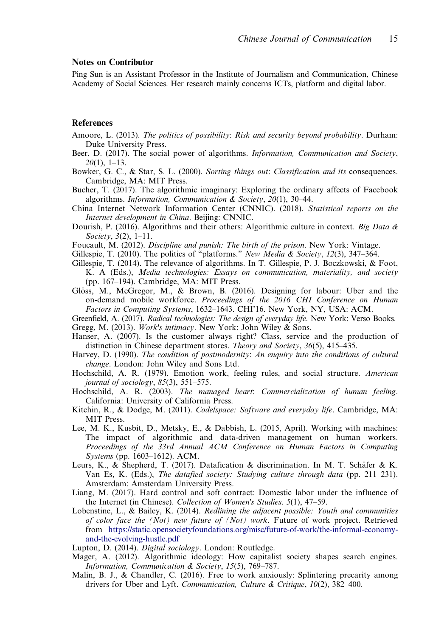#### Notes on Contributor

Ping Sun is an Assistant Professor in the Institute of Journalism and Communication, Chinese Academy of Social Sciences. Her research mainly concerns ICTs, platform and digital labor.

#### **References**

- Amoore, L. (2013). *The politics of possibility*: *Risk and security beyond probability*. Durham: Duke University Press.
- Beer, D. (2017). The social power of algorithms. *Information, Communication and Society*, *20*(1), 1–13.
- Bowker, G. C., & Star, S. L. (2000). *Sorting things out*: *Classification and its* consequences. Cambridge, MA: MIT Press.
- Bucher, T. (2017). The algorithmic imaginary: Exploring the ordinary affects of Facebook algorithms. *Information, Communication & Society*, *20*(1), 30–44.
- China Internet Network Information Center (CNNIC). (2018). *Statistical reports on the Internet development in China*. Beijing: CNNIC.
- Dourish, P. (2016). Algorithms and their others: Algorithmic culture in context. *Big Data & Society*, *3*(2), 1–11.
- Foucault, M. (2012). *Discipline and punish: The birth of the prison*. New York: Vintage.
- Gillespie, T. (2010). The politics of "platforms." *New Media & Society*, *12*(3), 347–364.
- Gillespie, T. (2014). The relevance of algorithms. In T. Gillespie, P. J. Boczkowski, & Foot, K. A (Eds.), *Media technologies: Essays on communication, materiality, and society* (pp. 167–194). Cambridge, MA: MIT Press.
- Glöss, M., McGregor, M., & Brown, B.  $(2016)$ . Designing for labour: Uber and the on-demand mobile workforce. *Proceedings of the 2016 CHI Conference on Human Factors in Computing Systems*, 1632–1643. CHI'16. New York, NY, USA: ACM.

Greenfield, A. (2017). *Radical technologies: The design of everyday life*. New York: Verso Books.

Gregg, M. (2013). *Work's intimacy*. New York: John Wiley & Sons.

- Hanser, A. (2007). Is the customer always right? Class, service and the production of distinction in Chinese department stores. *Theory and Society*, *36*(5), 415–435.
- Harvey, D. (1990). *The condition of postmodernity*: *An enquiry into the conditions of cultural change*. London: John Wiley and Sons Ltd.
- Hochschild, A. R. (1979). Emotion work, feeling rules, and social structure. *American journal of sociology*, *85*(3), 551–575.
- Hochschild, A. R. (2003). *The managed heart*: *Commercialization of human feeling*. California: University of California Press.
- Kitchin, R., & Dodge, M. (2011). *Code/space: Software and everyday life*. Cambridge, MA: MIT Press.
- Lee, M. K., Kusbit, D., Metsky, E., & Dabbish, L. (2015, April). Working with machines: The impact of algorithmic and data-driven management on human workers. *Proceedings of the 33rd Annual ACM Conference on Human Factors in Computing Systems* (pp. 1603–1612). ACM.
- Leurs, K., & Shepherd, T. (2017). Datafication & discrimination. In M. T. Schäfer & K. Van Es, K. (Eds.), *The datafied society: Studying culture through data* (pp. 211–231). Amsterdam: Amsterdam University Press.
- Liang, M. (2017). Hard control and soft contract: Domestic labor under the influence of the Internet (in Chinese). *Collection of Women's Studies*. *5*(1), 47–59.
- Lobenstine, L., & Bailey, K. (2014). *Redlining the adjacent possible: Youth and communities of color face the (Not) new future of (Not) work*. Future of work project. Retrieved from https://static.opensocietyfoundations.org/misc/future-of-work/the-informal-economyand-the-evolving-hustle.pdf
- Lupton, D. (2014). *Digital sociology*. London: Routledge.
- Mager, A. (2012). Algorithmic ideology: How capitalist society shapes search engines. *Information, Communication & Society*, *15*(5), 769–787.
- Malin, B. J., & Chandler, C. (2016). Free to work anxiously: Splintering precarity among drivers for Uber and Lyft. *Communication, Culture & Critique*, *10*(2), 382–400.